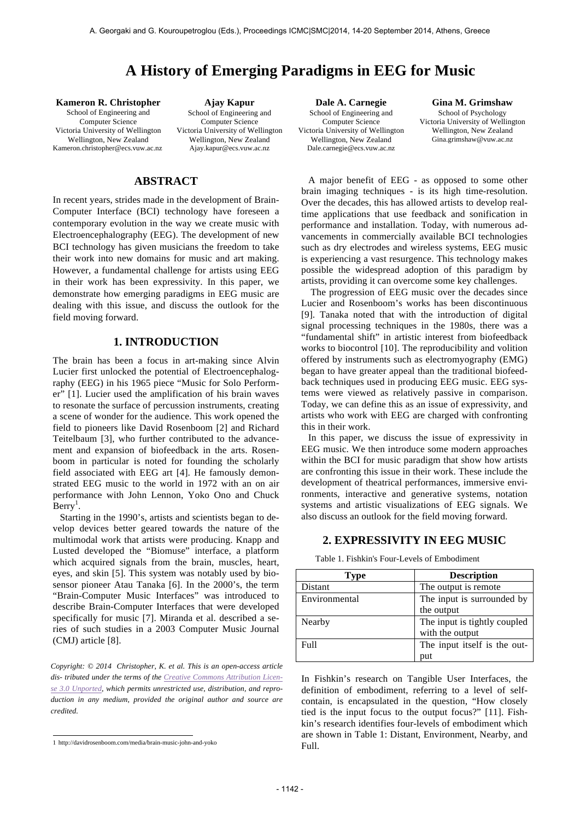# **A History of Emerging Paradigms in EEG for Music**

**Kameron R. Christopher** School of Engineering and Computer Science Victoria University of Wellington Wellington, New Zealand Kameron.christopher@ecs.vuw.ac.nz

**Ajay Kapur** School of Engineering and Computer Science Victoria University of Wellington Wellington, New Zealand Ajay.kapur@ecs.vuw.ac.nz

# **ABSTRACT**

In recent years, strides made in the development of Brain-Computer Interface (BCI) technology have foreseen a contemporary evolution in the way we create music with Electroencephalography (EEG). The development of new BCI technology has given musicians the freedom to take their work into new domains for music and art making. However, a fundamental challenge for artists using EEG in their work has been expressivity. In this paper, we demonstrate how emerging paradigms in EEG music are dealing with this issue, and discuss the outlook for the field moving forward.

# **1. INTRODUCTION**

The brain has been a focus in art-making since Alvin Lucier first unlocked the potential of Electroencephalography (EEG) in his 1965 piece "Music for Solo Performer" [1]. Lucier used the amplification of his brain waves to resonate the surface of percussion instruments, creating a scene of wonder for the audience. This work opened the field to pioneers like David Rosenboom [2] and Richard Teitelbaum [3], who further contributed to the advancement and expansion of biofeedback in the arts. Rosenboom in particular is noted for founding the scholarly field associated with EEG art [4]. He famously demonstrated EEG music to the world in 1972 with an on air performance with John Lennon, Yoko Ono and Chuck  $\text{Berry}^1$ .

Starting in the 1990's, artists and scientists began to develop devices better geared towards the nature of the multimodal work that artists were producing. Knapp and Lusted developed the "Biomuse" interface, a platform which acquired signals from the brain, muscles, heart, eyes, and skin [5]. This system was notably used by biosensor pioneer Atau Tanaka [6]. In the 2000's, the term "Brain-Computer Music Interfaces" was introduced to describe Brain-Computer Interfaces that were developed specifically for music [7]. Miranda et al. described a series of such studies in a 2003 Computer Music Journal (CMJ) article [8].

*Copyright: © 2014 Christopher, K. et al. This is an open-access article dis- tributed under the terms of the Creative Commons Attribution License 3.0 Unported, which permits unrestricted use, distribution, and reproduction in any medium, provided the original author and source are credited.*

**Dale A. Carnegie** School of Engineering and Computer Science Victoria University of Wellington Wellington, New Zealand Dale.carnegie@ecs.vuw.ac.nz

**Gina M. Grimshaw** School of Psychology Victoria University of Wellington Wellington, New Zealand Gina.grimshaw@vuw.ac.nz

A major benefit of EEG - as opposed to some other brain imaging techniques - is its high time-resolution. Over the decades, this has allowed artists to develop realtime applications that use feedback and sonification in performance and installation. Today, with numerous advancements in commercially available BCI technologies such as dry electrodes and wireless systems, EEG music is experiencing a vast resurgence. This technology makes possible the widespread adoption of this paradigm by artists, providing it can overcome some key challenges.

The progression of EEG music over the decades since Lucier and Rosenboom's works has been discontinuous [9]. Tanaka noted that with the introduction of digital signal processing techniques in the 1980s, there was a "fundamental shift" in artistic interest from biofeedback works to biocontrol [10]. The reproducibility and volition offered by instruments such as electromyography (EMG) began to have greater appeal than the traditional biofeedback techniques used in producing EEG music. EEG systems were viewed as relatively passive in comparison. Today, we can define this as an issue of expressivity, and artists who work with EEG are charged with confronting this in their work.

In this paper, we discuss the issue of expressivity in EEG music. We then introduce some modern approaches within the BCI for music paradigm that show how artists are confronting this issue in their work. These include the development of theatrical performances, immersive environments, interactive and generative systems, notation systems and artistic visualizations of EEG signals. We also discuss an outlook for the field moving forward.

# **2. EXPRESSIVITY IN EEG MUSIC**

| Type              | <b>Description</b>           |
|-------------------|------------------------------|
| Distant           | The output is remote         |
| Environmental     | The input is surrounded by   |
|                   | the output                   |
| Nearby            | The input is tightly coupled |
|                   | with the output              |
| F <sub>u</sub> 11 | The input itself is the out- |
|                   | put                          |

Table 1. Fishkin's Four-Levels of Embodiment

In Fishkin's research on Tangible User Interfaces, the definition of embodiment, referring to a level of selfcontain, is encapsulated in the question, "How closely tied is the input focus to the output focus?" [11]. Fishkin's research identifies four-levels of embodiment which are shown in Table 1: Distant, Environment, Nearby, and Full.

 1 http://davidrosenboom.com/media/brain-music-john-and-yoko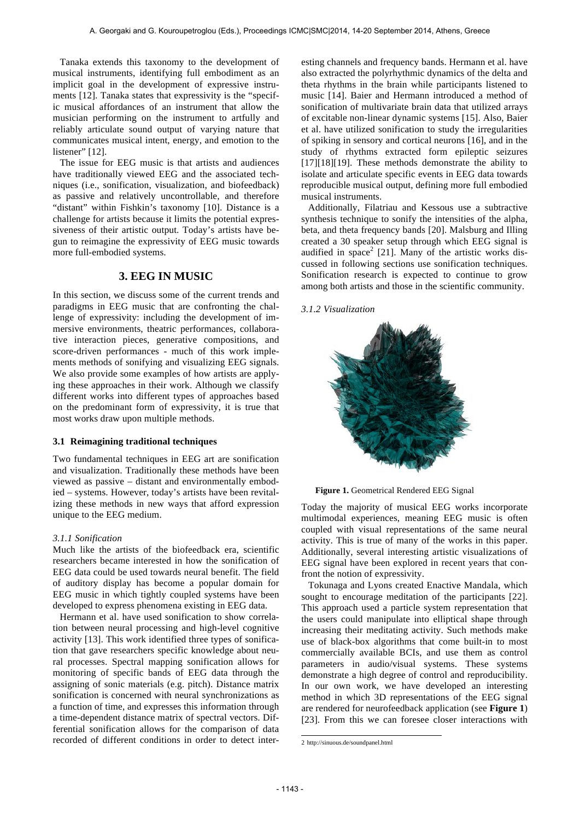Tanaka extends this taxonomy to the development of musical instruments, identifying full embodiment as an implicit goal in the development of expressive instruments [12]. Tanaka states that expressivity is the "specific musical affordances of an instrument that allow the musician performing on the instrument to artfully and reliably articulate sound output of varying nature that communicates musical intent, energy, and emotion to the listener" [12].

The issue for EEG music is that artists and audiences have traditionally viewed EEG and the associated techniques (i.e., sonification, visualization, and biofeedback) as passive and relatively uncontrollable, and therefore "distant" within Fishkin's taxonomy [10]. Distance is a challenge for artists because it limits the potential expressiveness of their artistic output. Today's artists have begun to reimagine the expressivity of EEG music towards more full-embodied systems.

# **3. EEG IN MUSIC**

In this section, we discuss some of the current trends and paradigms in EEG music that are confronting the challenge of expressivity: including the development of immersive environments, theatric performances, collaborative interaction pieces, generative compositions, and score-driven performances - much of this work implements methods of sonifying and visualizing EEG signals. We also provide some examples of how artists are applying these approaches in their work. Although we classify different works into different types of approaches based on the predominant form of expressivity, it is true that most works draw upon multiple methods.

### **3.1 Reimagining traditional techniques**

Two fundamental techniques in EEG art are sonification and visualization. Traditionally these methods have been viewed as passive – distant and environmentally embodied – systems. However, today's artists have been revitalizing these methods in new ways that afford expression unique to the EEG medium.

#### *3.1.1 Sonification*

Much like the artists of the biofeedback era, scientific researchers became interested in how the sonification of EEG data could be used towards neural benefit. The field of auditory display has become a popular domain for EEG music in which tightly coupled systems have been developed to express phenomena existing in EEG data.

Hermann et al. have used sonification to show correlation between neural processing and high-level cognitive activity [13]. This work identified three types of sonification that gave researchers specific knowledge about neural processes. Spectral mapping sonification allows for monitoring of specific bands of EEG data through the assigning of sonic materials (e.g. pitch). Distance matrix sonification is concerned with neural synchronizations as a function of time, and expresses this information through a time-dependent distance matrix of spectral vectors. Differential sonification allows for the comparison of data recorded of different conditions in order to detect interesting channels and frequency bands. Hermann et al. have also extracted the polyrhythmic dynamics of the delta and theta rhythms in the brain while participants listened to music [14]. Baier and Hermann introduced a method of sonification of multivariate brain data that utilized arrays of excitable non-linear dynamic systems [15]. Also, Baier et al. have utilized sonification to study the irregularities of spiking in sensory and cortical neurons [16], and in the study of rhythms extracted form epileptic seizures [17][18][19]. These methods demonstrate the ability to isolate and articulate specific events in EEG data towards reproducible musical output, defining more full embodied musical instruments.

Additionally, Filatriau and Kessous use a subtractive synthesis technique to sonify the intensities of the alpha, beta, and theta frequency bands [20]. Malsburg and Illing created a 30 speaker setup through which EEG signal is audified in  $space<sup>2</sup>$  [21]. Many of the artistic works discussed in following sections use sonification techniques. Sonification research is expected to continue to grow among both artists and those in the scientific community.

# *3.1.2 Visualization*



**Figure 1.** Geometrical Rendered EEG Signal

Today the majority of musical EEG works incorporate multimodal experiences, meaning EEG music is often coupled with visual representations of the same neural activity. This is true of many of the works in this paper. Additionally, several interesting artistic visualizations of EEG signal have been explored in recent years that confront the notion of expressivity.

Tokunaga and Lyons created Enactive Mandala, which sought to encourage meditation of the participants [22]. This approach used a particle system representation that the users could manipulate into elliptical shape through increasing their meditating activity. Such methods make use of black-box algorithms that come built-in to most commercially available BCIs, and use them as control parameters in audio/visual systems. These systems demonstrate a high degree of control and reproducibility. In our own work, we have developed an interesting method in which 3D representations of the EEG signal are rendered for neurofeedback application (see **Figure 1**) [23]. From this we can foresee closer interactions with

 <sup>2</sup> http://sinuous.de/soundpanel.html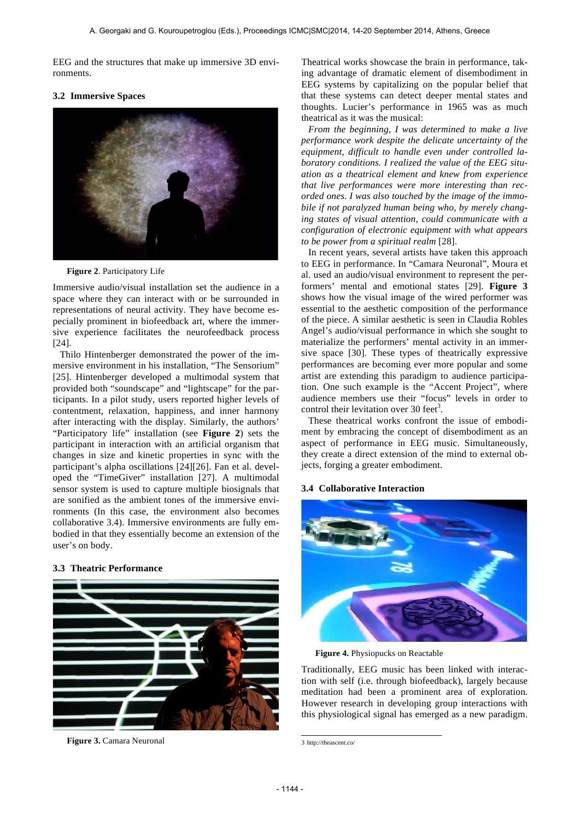EEG and the structures that make up immersive 3D environments.

### **3.2 Immersive Spaces**



**Figure 2**. Participatory Life

Immersive audio/visual installation set the audience in a space where they can interact with or be surrounded in representations of neural activity. They have become especially prominent in biofeedback art, where the immersive experience facilitates the neurofeedback process [24].

Thilo Hintenberger demonstrated the power of the immersive environment in his installation, "The Sensorium" [25]. Hintenberger developed a multimodal system that provided both "soundscape" and "lightscape" for the participants. In a pilot study, users reported higher levels of contentment, relaxation, happiness, and inner harmony after interacting with the display. Similarly, the authors' "Participatory life" installation (see **Figure 2**) sets the participant in interaction with an artificial organism that changes in size and kinetic properties in sync with the participant's alpha oscillations [24][26]. Fan et al. developed the "TimeGiver" installation [27]. A multimodal sensor system is used to capture multiple biosignals that are sonified as the ambient tones of the immersive environments (In this case, the environment also becomes collaborative 3.4). Immersive environments are fully embodied in that they essentially become an extension of the user's on body.

## **3.3 Theatric Performance**



**Figure 3.** Camara Neuronal

Theatrical works showcase the brain in performance, taking advantage of dramatic element of disembodiment in EEG systems by capitalizing on the popular belief that that these systems can detect deeper mental states and thoughts. Lucier's performance in 1965 was as much theatrical as it was the musical:

*From the beginning, I was determined to make a live performance work despite the delicate uncertainty of the equipment, difficult to handle even under controlled laboratory conditions. I realized the value of the EEG situation as a theatrical element and knew from experience that live performances were more interesting than recorded ones. I was also touched by the image of the immobile if not paralyzed human being who, by merely changing states of visual attention, could communicate with a configuration of electronic equipment with what appears to be power from a spiritual realm* [28].

In recent years, several artists have taken this approach to EEG in performance. In "Camara Neuronal", Moura et al. used an audio/visual environment to represent the performers' mental and emotional states [29]. **Figure 3** shows how the visual image of the wired performer was essential to the aesthetic composition of the performance of the piece. A similar aesthetic is seen in Claudia Robles Angel's audio/visual performance in which she sought to materialize the performers' mental activity in an immersive space [30]. These types of theatrically expressive performances are becoming ever more popular and some artist are extending this paradigm to audience participation. One such example is the "Accent Project", where audience members use their "focus" levels in order to control their levitation over 30 feet<sup>3</sup>.

These theatrical works confront the issue of embodiment by embracing the concept of disembodiment as an aspect of performance in EEG music. Simultaneously, they create a direct extension of the mind to external objects, forging a greater embodiment.

#### **3.4 Collaborative Interaction**



**Figure 4.** Physiopucks on Reactable

Traditionally, EEG music has been linked with interaction with self (i.e. through biofeedback), largely because meditation had been a prominent area of exploration. However research in developing group interactions with this physiological signal has emerged as a new paradigm.

 3 http://theascent.co/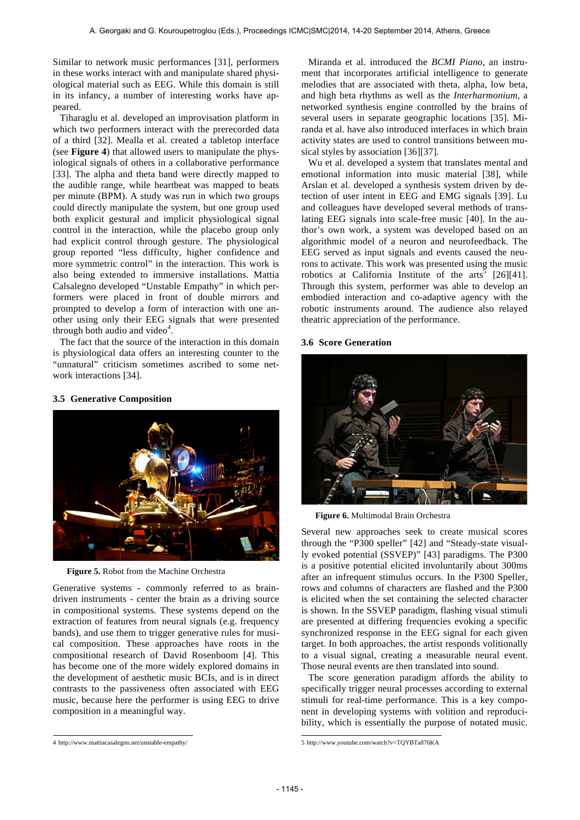Similar to network music performances [31], performers in these works interact with and manipulate shared physiological material such as EEG. While this domain is still in its infancy, a number of interesting works have appeared.

Tiharaglu et al. developed an improvisation platform in which two performers interact with the prerecorded data of a third [32]. Mealla et al. created a tabletop interface (see **Figure 4**) that allowed users to manipulate the physiological signals of others in a collaborative performance [33]. The alpha and theta band were directly mapped to the audible range, while heartbeat was mapped to beats per minute (BPM). A study was run in which two groups could directly manipulate the system, but one group used both explicit gestural and implicit physiological signal control in the interaction, while the placebo group only had explicit control through gesture. The physiological group reported "less difficulty, higher confidence and more symmetric control" in the interaction. This work is also being extended to immersive installations. Mattia Calsalegno developed "Unstable Empathy" in which performers were placed in front of double mirrors and prompted to develop a form of interaction with one another using only their EEG signals that were presented through both audio and video $4$ .

The fact that the source of the interaction in this domain is physiological data offers an interesting counter to the "unnatural" criticism sometimes ascribed to some network interactions [34].

#### **3.5 Generative Composition**



**Figure 5.** Robot from the Machine Orchestra

Generative systems - commonly referred to as braindriven instruments - center the brain as a driving source in compositional systems. These systems depend on the extraction of features from neural signals (e.g. frequency bands), and use them to trigger generative rules for musical composition. These approaches have roots in the compositional research of David Rosenboom [4]. This has become one of the more widely explored domains in the development of aesthetic music BCIs, and is in direct contrasts to the passiveness often associated with EEG music, because here the performer is using EEG to drive composition in a meaningful way.

Miranda et al. introduced the *BCMI Piano*, an instrument that incorporates artificial intelligence to generate melodies that are associated with theta, alpha, low beta, and high beta rhythms as well as the *Interharmonium*, a networked synthesis engine controlled by the brains of several users in separate geographic locations [35]. Miranda et al. have also introduced interfaces in which brain activity states are used to control transitions between musical styles by association [36][37].

Wu et al. developed a system that translates mental and emotional information into music material [38], while Arslan et al. developed a synthesis system driven by detection of user intent in EEG and EMG signals [39]. Lu and colleagues have developed several methods of translating EEG signals into scale-free music [40]. In the author's own work, a system was developed based on an algorithmic model of a neuron and neurofeedback. The EEG served as input signals and events caused the neurons to activate. This work was presented using the music robotics at California Institute of the  $arts^5$  [26][41]. Through this system, performer was able to develop an embodied interaction and co-adaptive agency with the robotic instruments around. The audience also relayed theatric appreciation of the performance.

#### **3.6 Score Generation**



**Figure 6.** Multimodal Brain Orchestra

Several new approaches seek to create musical scores through the "P300 speller" [42] and "Steady-state visually evoked potential (SSVEP)" [43] paradigms. The P300 is a positive potential elicited involuntarily about 300ms after an infrequent stimulus occurs. In the P300 Speller, rows and columns of characters are flashed and the P300 is elicited when the set containing the selected character is shown. In the SSVEP paradigm, flashing visual stimuli are presented at differing frequencies evoking a specific synchronized response in the EEG signal for each given target. In both approaches, the artist responds volitionally to a visual signal, creating a measurable neural event. Those neural events are then translated into sound.

The score generation paradigm affords the ability to specifically trigger neural processes according to external stimuli for real-time performance. This is a key component in developing systems with volition and reproducibility, which is essentially the purpose of notated music.

 4 http://www.mattiacasalegno.net/unstable-empathy/

 5 http://www.youtube.com/watch?v=TQYBTa876KA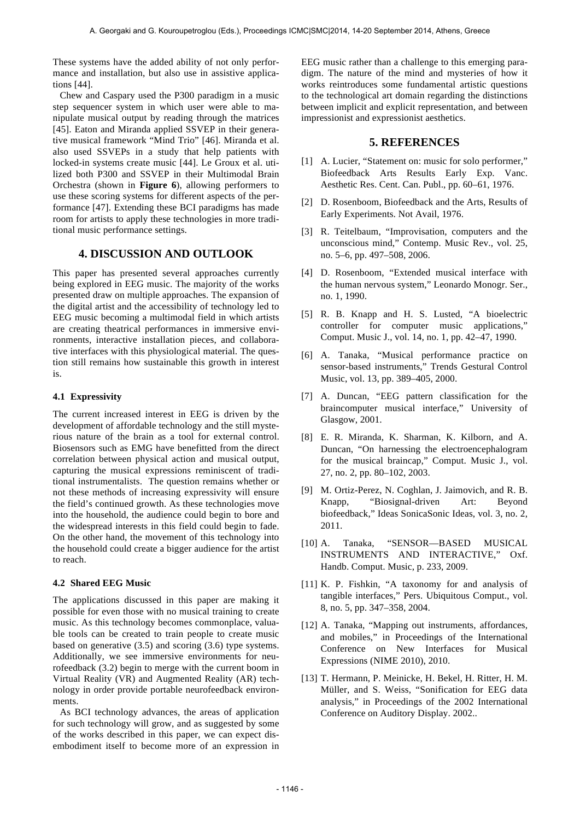These systems have the added ability of not only performance and installation, but also use in assistive applications [44].

Chew and Caspary used the P300 paradigm in a music step sequencer system in which user were able to manipulate musical output by reading through the matrices [45]. Eaton and Miranda applied SSVEP in their generative musical framework "Mind Trio" [46]. Miranda et al. also used SSVEPs in a study that help patients with locked-in systems create music [44]. Le Groux et al. utilized both P300 and SSVEP in their Multimodal Brain Orchestra (shown in **Figure 6**), allowing performers to use these scoring systems for different aspects of the performance [47]. Extending these BCI paradigms has made room for artists to apply these technologies in more traditional music performance settings.

# **4. DISCUSSION AND OUTLOOK**

This paper has presented several approaches currently being explored in EEG music. The majority of the works presented draw on multiple approaches. The expansion of the digital artist and the accessibility of technology led to EEG music becoming a multimodal field in which artists are creating theatrical performances in immersive environments, interactive installation pieces, and collaborative interfaces with this physiological material. The question still remains how sustainable this growth in interest is.

### **4.1 Expressivity**

The current increased interest in EEG is driven by the development of affordable technology and the still mysterious nature of the brain as a tool for external control. Biosensors such as EMG have benefitted from the direct correlation between physical action and musical output, capturing the musical expressions reminiscent of traditional instrumentalists. The question remains whether or not these methods of increasing expressivity will ensure the field's continued growth. As these technologies move into the household, the audience could begin to bore and the widespread interests in this field could begin to fade. On the other hand, the movement of this technology into the household could create a bigger audience for the artist to reach.

## **4.2 Shared EEG Music**

The applications discussed in this paper are making it possible for even those with no musical training to create music. As this technology becomes commonplace, valuable tools can be created to train people to create music based on generative (3.5) and scoring (3.6) type systems. Additionally, we see immersive environments for neurofeedback (3.2) begin to merge with the current boom in Virtual Reality (VR) and Augmented Reality (AR) technology in order provide portable neurofeedback environments.

As BCI technology advances, the areas of application for such technology will grow, and as suggested by some of the works described in this paper, we can expect disembodiment itself to become more of an expression in EEG music rather than a challenge to this emerging paradigm. The nature of the mind and mysteries of how it works reintroduces some fundamental artistic questions to the technological art domain regarding the distinctions between implicit and explicit representation, and between impressionist and expressionist aesthetics.

## **5. REFERENCES**

- [1] A. Lucier, "Statement on: music for solo performer," Biofeedback Arts Results Early Exp. Vanc. Aesthetic Res. Cent. Can. Publ., pp. 60–61, 1976.
- [2] D. Rosenboom, Biofeedback and the Arts, Results of Early Experiments. Not Avail, 1976.
- [3] R. Teitelbaum, "Improvisation, computers and the unconscious mind," Contemp. Music Rev., vol. 25, no. 5–6, pp. 497–508, 2006.
- [4] D. Rosenboom, "Extended musical interface with the human nervous system," Leonardo Monogr. Ser., no. 1, 1990.
- [5] R. B. Knapp and H. S. Lusted, "A bioelectric controller for computer music applications," Comput. Music J., vol. 14, no. 1, pp. 42–47, 1990.
- [6] A. Tanaka, "Musical performance practice on sensor-based instruments," Trends Gestural Control Music, vol. 13, pp. 389–405, 2000.
- [7] A. Duncan, "EEG pattern classification for the braincomputer musical interface," University of Glasgow, 2001.
- [8] E. R. Miranda, K. Sharman, K. Kilborn, and A. Duncan, "On harnessing the electroencephalogram for the musical braincap," Comput. Music J., vol. 27, no. 2, pp. 80–102, 2003.
- [9] M. Ortiz-Perez, N. Coghlan, J. Jaimovich, and R. B. Knapp, "Biosignal-driven Art: Beyond biofeedback," Ideas SonicaSonic Ideas, vol. 3, no. 2, 2011.
- [10] A. Tanaka, "SENSOR—BASED MUSICAL INSTRUMENTS AND INTERACTIVE," Oxf. Handb. Comput. Music, p. 233, 2009.
- [11] K. P. Fishkin, "A taxonomy for and analysis of tangible interfaces," Pers. Ubiquitous Comput., vol. 8, no. 5, pp. 347–358, 2004.
- [12] A. Tanaka, "Mapping out instruments, affordances, and mobiles," in Proceedings of the International Conference on New Interfaces for Musical Expressions (NIME 2010), 2010.
- [13] T. Hermann, P. Meinicke, H. Bekel, H. Ritter, H. M. Müller, and S. Weiss, "Sonification for EEG data analysis," in Proceedings of the 2002 International Conference on Auditory Display. 2002..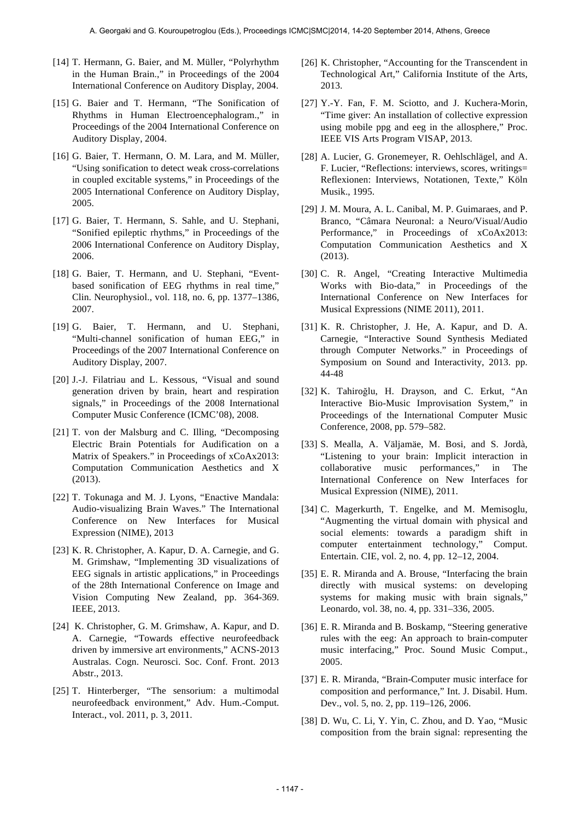- [14] T. Hermann, G. Baier, and M. Müller, "Polyrhythm in the Human Brain.," in Proceedings of the 2004 International Conference on Auditory Display, 2004.
- [15] G. Baier and T. Hermann, "The Sonification of Rhythms in Human Electroencephalogram.," in Proceedings of the 2004 International Conference on Auditory Display, 2004.
- [16] G. Baier, T. Hermann, O. M. Lara, and M. Müller, "Using sonification to detect weak cross-correlations in coupled excitable systems," in Proceedings of the 2005 International Conference on Auditory Display, 2005.
- [17] G. Baier, T. Hermann, S. Sahle, and U. Stephani, "Sonified epileptic rhythms," in Proceedings of the 2006 International Conference on Auditory Display, 2006.
- [18] G. Baier, T. Hermann, and U. Stephani, "Eventbased sonification of EEG rhythms in real time," Clin. Neurophysiol., vol. 118, no. 6, pp. 1377–1386, 2007.
- [19] G. Baier, T. Hermann, and U. Stephani, "Multi-channel sonification of human EEG," in Proceedings of the 2007 International Conference on Auditory Display, 2007.
- [20] J.-J. Filatriau and L. Kessous, "Visual and sound generation driven by brain, heart and respiration signals," in Proceedings of the 2008 International Computer Music Conference (ICMC'08), 2008.
- [21] T. von der Malsburg and C. Illing, "Decomposing Electric Brain Potentials for Audification on a Matrix of Speakers." in Proceedings of xCoAx2013: Computation Communication Aesthetics and X (2013).
- [22] T. Tokunaga and M. J. Lyons, "Enactive Mandala: Audio-visualizing Brain Waves." The International Conference on New Interfaces for Musical Expression (NIME), 2013
- [23] K. R. Christopher, A. Kapur, D. A. Carnegie, and G. M. Grimshaw, "Implementing 3D visualizations of EEG signals in artistic applications," in Proceedings of the 28th International Conference on Image and Vision Computing New Zealand, pp. 364-369. IEEE, 2013.
- [24] K. Christopher, G. M. Grimshaw, A. Kapur, and D. A. Carnegie, "Towards effective neurofeedback driven by immersive art environments," ACNS-2013 Australas. Cogn. Neurosci. Soc. Conf. Front. 2013 Abstr., 2013.
- [25] T. Hinterberger, "The sensorium: a multimodal neurofeedback environment," Adv. Hum.-Comput. Interact., vol. 2011, p. 3, 2011.
- [26] K. Christopher, "Accounting for the Transcendent in Technological Art," California Institute of the Arts, 2013.
- [27] Y.-Y. Fan, F. M. Sciotto, and J. Kuchera-Morin, "Time giver: An installation of collective expression using mobile ppg and eeg in the allosphere," Proc. IEEE VIS Arts Program VISAP, 2013.
- [28] A. Lucier, G. Gronemeyer, R. Oehlschlägel, and A. F. Lucier, "Reflections: interviews, scores, writings= Reflexionen: Interviews, Notationen, Texte," Köln Musik., 1995.
- [29] J. M. Moura, A. L. Canibal, M. P. Guimaraes, and P. Branco, "Câmara Neuronal: a Neuro/Visual/Audio Performance," in Proceedings of xCoAx2013: Computation Communication Aesthetics and X (2013).
- [30] C. R. Angel, "Creating Interactive Multimedia Works with Bio-data," in Proceedings of the International Conference on New Interfaces for Musical Expressions (NIME 2011), 2011.
- [31] K. R. Christopher, J. He, A. Kapur, and D. A. Carnegie, "Interactive Sound Synthesis Mediated through Computer Networks." in Proceedings of Symposium on Sound and Interactivity, 2013. pp. 44-48
- [32] K. Tahiroğlu, H. Drayson, and C. Erkut, "An Interactive Bio-Music Improvisation System," in Proceedings of the International Computer Music Conference, 2008, pp. 579–582.
- [33] S. Mealla, A. Väljamäe, M. Bosi, and S. Jordà, "Listening to your brain: Implicit interaction in collaborative music performances," in The International Conference on New Interfaces for Musical Expression (NIME), 2011.
- [34] C. Magerkurth, T. Engelke, and M. Memisoglu, "Augmenting the virtual domain with physical and social elements: towards a paradigm shift in computer entertainment technology," Comput. Entertain. CIE, vol. 2, no. 4, pp. 12–12, 2004.
- [35] E. R. Miranda and A. Brouse, "Interfacing the brain directly with musical systems: on developing systems for making music with brain signals," Leonardo, vol. 38, no. 4, pp. 331–336, 2005.
- [36] E. R. Miranda and B. Boskamp, "Steering generative rules with the eeg: An approach to brain-computer music interfacing," Proc. Sound Music Comput., 2005.
- [37] E. R. Miranda, "Brain-Computer music interface for composition and performance," Int. J. Disabil. Hum. Dev., vol. 5, no. 2, pp. 119–126, 2006.
- [38] D. Wu, C. Li, Y. Yin, C. Zhou, and D. Yao, "Music composition from the brain signal: representing the